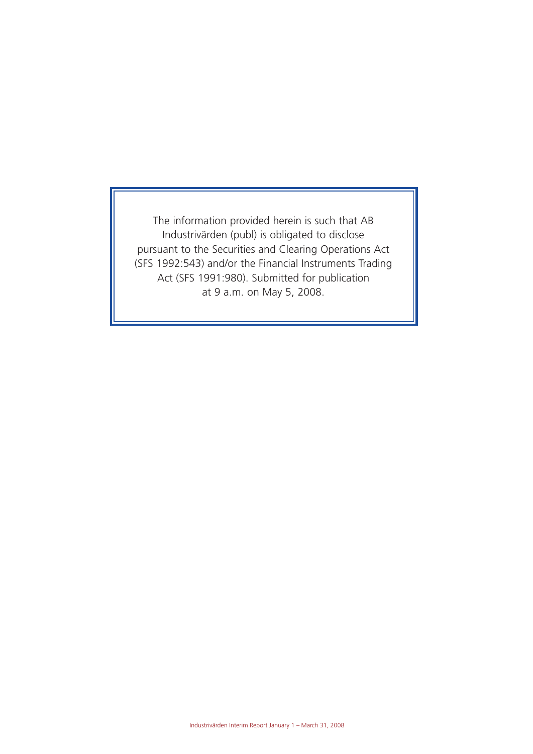The information provided herein is such that AB Industrivärden (publ) is obligated to disclose pursuant to the Securities and Clearing Operations Act (SFS 1992:543) and/or the Financial Instruments Trading Act (SFS 1991:980). Submitted for publication at 9 a.m. on May 5, 2008.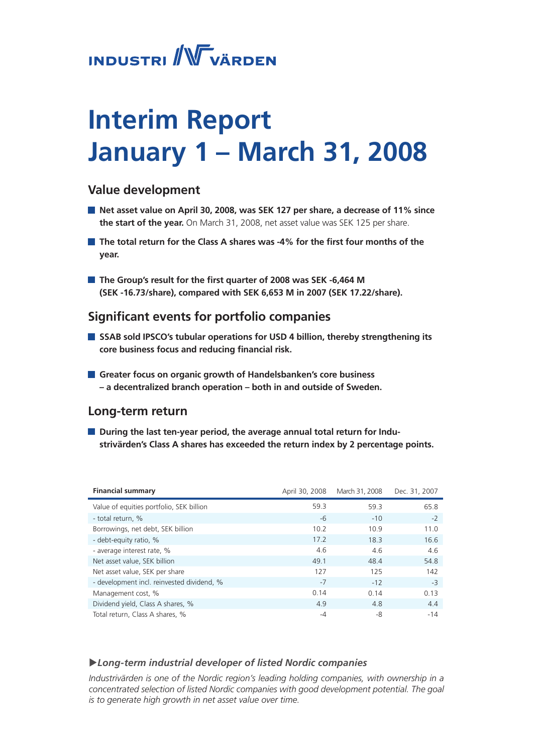# **INDUSTRI** WVÄRDEN

# **Interim Report January 1 – March 31, 2008**

# **Value development**

- **Net asset value on April 30, 2008, was SEK 127 per share, a decrease of 11% since the start of the year.** On March 31, 2008, net asset value was SEK 125 per share.
- **The total return for the Class A shares was -4% for the first four months of the year.**
- **The Group's result for the first quarter of 2008 was SEK -6,464 M (SEK -16.73/share), compared with SEK 6,653 M in 2007 (SEK 17.22/share).**

# **Significant events for portfolio companies**

- SSAB sold IPSCO's tubular operations for USD 4 billion, thereby strengthening its **core business focus and reducing financial risk.**
- **Greater focus on organic growth of Handelsbanken's core business – a decentralized branch operation – both in and outside of Sweden.**

# **Long-term return**

 $\blacksquare$  During the last ten-year period, the average annual total return for Indu**strivärden's Class A shares has exceeded the return index by 2 percentage points.**

| <b>Financial summary</b>                   | April 30, 2008 | March 31, 2008 | Dec. 31, 2007 |
|--------------------------------------------|----------------|----------------|---------------|
| Value of equities portfolio, SEK billion   | 59.3           | 59.3           | 65.8          |
| - total return, %                          | -6             | $-10$          | $-2$          |
| Borrowings, net debt, SEK billion          | 10.2           | 10.9           | 11.0          |
| - debt-equity ratio, %                     | 17.2           | 18.3           | 16.6          |
| - average interest rate, %                 | 4.6            | 4.6            | 4.6           |
| Net asset value, SEK billion               | 49.1           | 48.4           | 54.8          |
| Net asset value, SEK per share             | 127            | 125            | 142           |
| - development incl. reinvested dividend, % | $-7$           | $-12$          | $-3$          |
| Management cost, %                         | 0.14           | 0.14           | 0.13          |
| Dividend yield, Class A shares, %          | 4.9            | 4.8            | 4.4           |
| Total return, Class A shares, %            | $-4$           | -8             | $-14$         |

## u*Long-term industrial developer of listed Nordic companies*

*Industrivärden is one of the Nordic region's leading holding companies, with ownership in a concentrated selection of listed Nordic companies with good development potential. The goal is to generate high growth in net asset value over time.*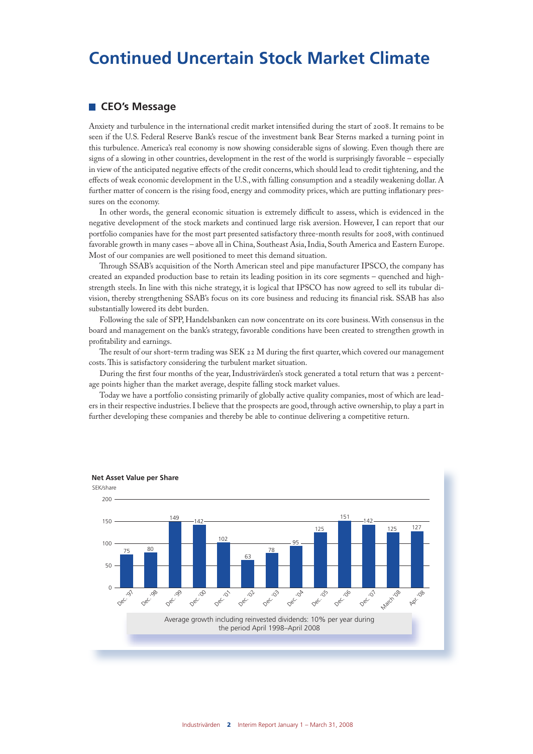# **Continued Uncertain Stock Market Climate**

#### **CEO's Message**

Anxiety and turbulence in the international credit market intensified during the start of 2008. It remains to be seen if the U.S. Federal Reserve Bank's rescue of the investment bank Bear Sterns marked a turning point in this turbulence. America's real economy is now showing considerable signs of slowing. Even though there are signs of a slowing in other countries, development in the rest of the world is surprisingly favorable – especially in view of the anticipated negative effects of the credit concerns, which should lead to credit tightening, and the effects of weak economic development in the U.S., with falling consumption and a steadily weakening dollar. A further matter of concern is the rising food, energy and commodity prices, which are putting inflationary pressures on the economy.

In other words, the general economic situation is extremely difficult to assess, which is evidenced in the negative development of the stock markets and continued large risk aversion. However, I can report that our portfolio companies have for the most part presented satisfactory three-month results for 2008, with continued favorable growth in many cases – above all in China, Southeast Asia, India, South America and Eastern Europe. Most of our companies are well positioned to meet this demand situation.

Through SSAB's acquisition of the North American steel and pipe manufacturer IPSCO, the company has created an expanded production base to retain its leading position in its core segments – quenched and highstrength steels. In line with this niche strategy, it is logical that IPSCO has now agreed to sell its tubular division, thereby strengthening SSAB's focus on its core business and reducing its financial risk. SSAB has also substantially lowered its debt burden.

Following the sale of SPP, Handelsbanken can now concentrate on its core business. With consensus in the board and management on the bank's strategy, favorable conditions have been created to strengthen growth in profitability and earnings.

The result of our short-term trading was SEK 22 M during the first quarter, which covered our management costs. This is satisfactory considering the turbulent market situation.

During the first four months of the year, Industrivärden's stock generated a total return that was 2 percentage points higher than the market average, despite falling stock market values.

Today we have a portfolio consisting primarily of globally active quality companies, most of which are leaders in their respective industries. I believe that the prospects are good, through active ownership, to play a part in further developing these companies and thereby be able to continue delivering a competitive return.

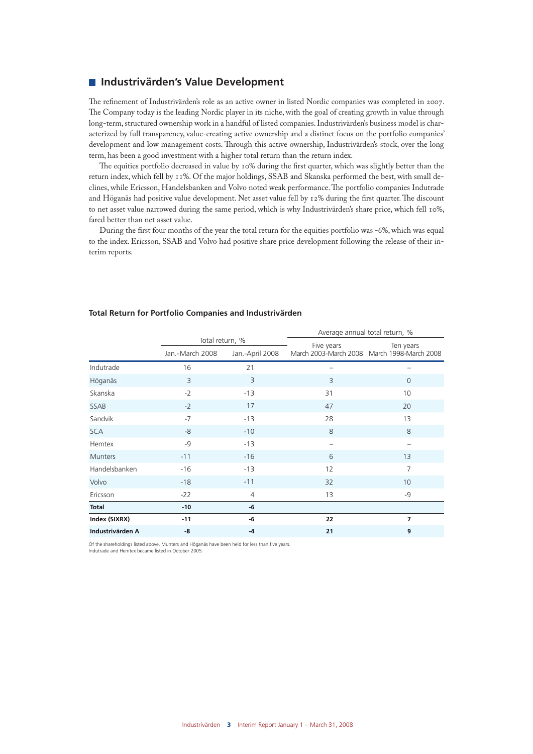#### **Industrivärden's Value Development**

The refinement of Industrivärden's role as an active owner in listed Nordic companies was completed in 2007. The Company today is the leading Nordic player in its niche, with the goal of creating growth in value through long-term, structured ownership work in a handful of listed companies. Industrivärden's business model is characterized by full transparency, value-creating active ownership and a distinct focus on the portfolio companies' development and low management costs. Through this active ownership, Industrivärden's stock, over the long term, has been a good investment with a higher total return than the return index.

The equities portfolio decreased in value by 10% during the first quarter, which was slightly better than the return index, which fell by 11%. Of the major holdings, SSAB and Skanska performed the best, with small declines, while Ericsson, Handelsbanken and Volvo noted weak performance. The portfolio companies Indutrade and Höganäs had positive value development. Net asset value fell by 12% during the first quarter. The discount to net asset value narrowed during the same period, which is why Industrivärden's share price, which fell 10%, fared better than net asset value.

During the first four months of the year the total return for the equities portfolio was -6%, which was equal to the index. Ericsson, SSAB and Volvo had positive share price development following the release of their interim reports.

|                  |                                    |                 | Average annual total return, % |                                                          |  |
|------------------|------------------------------------|-----------------|--------------------------------|----------------------------------------------------------|--|
|                  | Total return, %<br>Jan.-March 2008 | Jan.-April 2008 | Five years                     | Ten years<br>March 2003-March 2008 March 1998-March 2008 |  |
| Indutrade        | 16                                 | 21              |                                |                                                          |  |
| Höganäs          | 3                                  | $\overline{3}$  | 3                              | $\mathbf{0}$                                             |  |
| Skanska          | $-2$                               | $-13$           | 31                             | 10                                                       |  |
| SSAB             | $-2$                               | 17              | 47                             | 20                                                       |  |
| Sandvik          | $-7$                               | $-13$           | 28                             | 13                                                       |  |
| <b>SCA</b>       | -8                                 | $-10$           | 8                              | 8                                                        |  |
| Hemtex           | $-9$                               | $-13$           |                                |                                                          |  |
| <b>Munters</b>   | $-11$                              | $-16$           | 6                              | 13                                                       |  |
| Handelsbanken    | $-16$                              | $-13$           | 12                             | 7                                                        |  |
| Volvo            | $-18$                              | $-11$           | 32                             | 10                                                       |  |
| Ericsson         | $-22$                              | $\overline{4}$  | 13                             | -9                                                       |  |
| <b>Total</b>     | $-10$                              | -6              |                                |                                                          |  |
| Index (SIXRX)    | $-11$                              | -6              | 22                             | 7                                                        |  |
| Industrivärden A | -8                                 | $-4$            | 21                             | 9                                                        |  |

#### **Total Return for Portfolio Companies and Industrivärden**

Of the shareholdings listed above, Munters and Höganäs have been held for less than five years. Indutrade and Hemtex became listed in October 2005.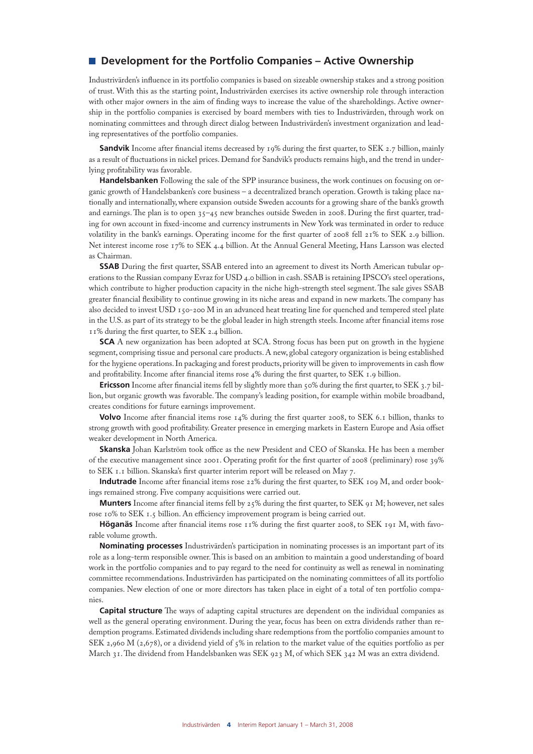### ■ Development for the Portfolio Companies – Active Ownership

Industrivärden's influence in its portfolio companies is based on sizeable ownership stakes and a strong position of trust. With this as the starting point, Industrivärden exercises its active ownership role through interaction with other major owners in the aim of finding ways to increase the value of the shareholdings. Active ownership in the portfolio companies is exercised by board members with ties to Industrivärden, through work on nominating committees and through direct dialog between Industrivärden's investment organization and leading representatives of the portfolio companies.

**Sandvik** Income after financial items decreased by 19% during the first quarter, to SEK 2.7 billion, mainly as a result of fluctuations in nickel prices. Demand for Sandvik's products remains high, and the trend in underlying profitability was favorable.

**Handelsbanken** Following the sale of the SPP insurance business, the work continues on focusing on organic growth of Handelsbanken's core business – a decentralized branch operation. Growth is taking place nationally and internationally, where expansion outside Sweden accounts for a growing share of the bank's growth and earnings. The plan is to open 35–45 new branches outside Sweden in 2008. During the first quarter, trading for own account in fixed-income and currency instruments in New York was terminated in order to reduce volatility in the bank's earnings. Operating income for the first quarter of 2008 fell 21% to SEK 2.9 billion. Net interest income rose 17% to SEK 4.4 billion. At the Annual General Meeting, Hans Larsson was elected as Chairman.

**SSAB** During the first quarter, SSAB entered into an agreement to divest its North American tubular operations to the Russian company Evraz for USD 4.0 billion in cash. SSAB is retaining IPSCO's steel operations, which contribute to higher production capacity in the niche high-strength steel segment. The sale gives SSAB greater financial flexibility to continue growing in its niche areas and expand in new markets. The company has also decided to invest USD 150-200 M in an advanced heat treating line for quenched and tempered steel plate in the U.S. as part of its strategy to be the global leader in high strength steels. Income after financial items rose 11% during the first quarter, to SEK 2.4 billion.

**SCA** A new organization has been adopted at SCA. Strong focus has been put on growth in the hygiene segment, comprising tissue and personal care products. A new, global category organization is being established for the hygiene operations. In packaging and forest products, priority will be given to improvements in cash flow and profitability. Income after financial items rose 4% during the first quarter, to SEK 1.9 billion.

**Ericsson** Income after financial items fell by slightly more than 50% during the first quarter, to SEK 3.7 billion, but organic growth was favorable. The company's leading position, for example within mobile broadband, creates conditions for future earnings improvement.

**Volvo** Income after financial items rose 14% during the first quarter 2008, to SEK 6.1 billion, thanks to strong growth with good profitability. Greater presence in emerging markets in Eastern Europe and Asia offset weaker development in North America.

**Skanska** Johan Karlström took office as the new President and CEO of Skanska. He has been a member of the executive management since 2001. Operating profit for the first quarter of 2008 (preliminary) rose 39% to SEK 1.1 billion. Skanska's first quarter interim report will be released on May 7.

**Indutrade** Income after financial items rose 22% during the first quarter, to SEK 109 M, and order bookings remained strong. Five company acquisitions were carried out.

**Munters** Income after financial items fell by 25% during the first quarter, to SEK 91 M; however, net sales rose 10% to SEK 1.5 billion. An efficiency improvement program is being carried out.

**Höganäs** Income after financial items rose 11% during the first quarter 2008, to SEK 191 M, with favorable volume growth.

**Nominating processes** Industrivärden's participation in nominating processes is an important part of its role as a long-term responsible owner. This is based on an ambition to maintain a good understanding of board work in the portfolio companies and to pay regard to the need for continuity as well as renewal in nominating committee recommendations. Industrivärden has participated on the nominating committees of all its portfolio companies. New election of one or more directors has taken place in eight of a total of ten portfolio companies.

**Capital structure** The ways of adapting capital structures are dependent on the individual companies as well as the general operating environment. During the year, focus has been on extra dividends rather than redemption programs. Estimated dividends including share redemptions from the portfolio companies amount to SEK 2,960 M (2,678), or a dividend yield of  $5\%$  in relation to the market value of the equities portfolio as per March 31. The dividend from Handelsbanken was SEK 923 M, of which SEK 342 M was an extra dividend.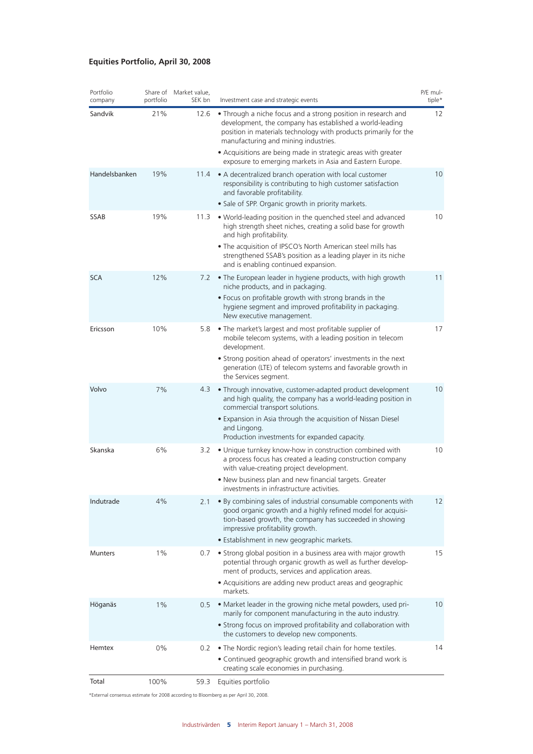### **Equities Portfolio, April 30, 2008**

| Portfolio<br>company | portfolio | Share of Market value,<br>SEK bn | Investment case and strategic events                                                                                                                                                                                                                                      | P/E mul-<br>tiple* |
|----------------------|-----------|----------------------------------|---------------------------------------------------------------------------------------------------------------------------------------------------------------------------------------------------------------------------------------------------------------------------|--------------------|
| Sandvik              | 21%       | 12.6                             | • Through a niche focus and a strong position in research and<br>development, the company has established a world-leading<br>position in materials technology with products primarily for the<br>manufacturing and mining industries.                                     | 12                 |
|                      |           |                                  | • Acquisitions are being made in strategic areas with greater<br>exposure to emerging markets in Asia and Eastern Europe.                                                                                                                                                 |                    |
| Handelsbanken        | 19%       | 11.4                             | • A decentralized branch operation with local customer<br>responsibility is contributing to high customer satisfaction<br>and favorable profitability.                                                                                                                    | 10                 |
|                      |           |                                  | · Sale of SPP. Organic growth in priority markets.                                                                                                                                                                                                                        |                    |
| SSAB                 | 19%       | 11.3                             | . World-leading position in the quenched steel and advanced<br>high strength sheet niches, creating a solid base for growth<br>and high profitability.                                                                                                                    | 10                 |
|                      |           |                                  | . The acquisition of IPSCO's North American steel mills has<br>strengthened SSAB's position as a leading player in its niche<br>and is enabling continued expansion.                                                                                                      |                    |
| <b>SCA</b>           | 12%       | 7.2                              | • The European leader in hygiene products, with high growth<br>niche products, and in packaging.                                                                                                                                                                          | 11                 |
|                      |           |                                  | • Focus on profitable growth with strong brands in the<br>hygiene segment and improved profitability in packaging.<br>New executive management.                                                                                                                           |                    |
| Ericsson             | 10%       | 5.8                              | • The market's largest and most profitable supplier of<br>mobile telecom systems, with a leading position in telecom<br>development.                                                                                                                                      | 17                 |
|                      |           |                                  | • Strong position ahead of operators' investments in the next<br>generation (LTE) of telecom systems and favorable growth in<br>the Services segment.                                                                                                                     |                    |
| Volvo                | 7%        | 4.3                              | • Through innovative, customer-adapted product development<br>and high quality, the company has a world-leading position in<br>commercial transport solutions.                                                                                                            | 10                 |
|                      |           |                                  | • Expansion in Asia through the acquisition of Nissan Diesel<br>and Lingong.<br>Production investments for expanded capacity.                                                                                                                                             |                    |
| Skanska              | 6%        | 3.2                              | • Unique turnkey know-how in construction combined with<br>a process focus has created a leading construction company<br>with value-creating project development.                                                                                                         | 10                 |
|                      |           |                                  | . New business plan and new financial targets. Greater<br>investments in infrastructure activities.                                                                                                                                                                       |                    |
| Indutrade            | 4%        | 2.1                              | • By combining sales of industrial consumable components with<br>good organic growth and a highly refined model for acquisi-<br>tion-based growth, the company has succeeded in showing<br>impressive profitability growth.<br>• Establishment in new geographic markets. | 12                 |
| <b>Munters</b>       | 1%        | 0.7                              | • Strong global position in a business area with major growth<br>potential through organic growth as well as further develop-<br>ment of products, services and application areas.                                                                                        | 15                 |
|                      |           |                                  | • Acquisitions are adding new product areas and geographic<br>markets.                                                                                                                                                                                                    |                    |
| Höganäs              | 1%        | 0.5                              | • Market leader in the growing niche metal powders, used pri-<br>marily for component manufacturing in the auto industry.                                                                                                                                                 | 10                 |
|                      |           |                                  | • Strong focus on improved profitability and collaboration with<br>the customers to develop new components.                                                                                                                                                               |                    |
| Hemtex               | 0%        | 0.2                              | • The Nordic region's leading retail chain for home textiles.                                                                                                                                                                                                             | 14                 |
|                      |           |                                  | • Continued geographic growth and intensified brand work is<br>creating scale economies in purchasing.                                                                                                                                                                    |                    |
| Total                | 100%      | 59.3                             | Equities portfolio                                                                                                                                                                                                                                                        |                    |

\*External consensus estimate for 2008 according to Bloomberg as per April 30, 2008.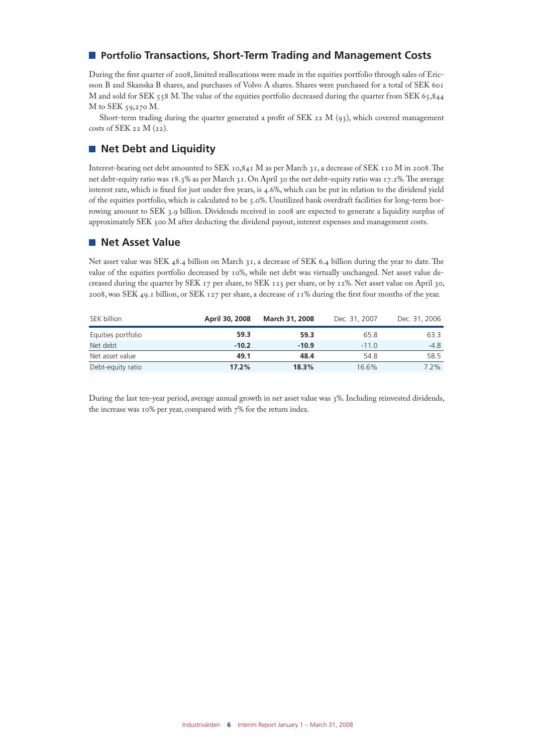## **Partfolio Transactions, Short-Term Trading and Management Costs**

During the first quarter of 2008, limited reallocations were made in the equities portfolio through sales of Ericsson B and Skanska B shares, and purchases of Volvo A shares. Shares were purchased for a total of SEK 601 M and sold for SEK 558 M. The value of the equities portfolio decreased during the quarter from SEK 65,844 M to SEK 59,270 M.

Short-term trading during the quarter generated a profit of SEK 22 M  $(q_3)$ , which covered management costs of SEK 22 M (22).

### **Net Debt and Liquidity**

Interest-bearing net debt amounted to SEK 10,841 M as per March 31, a decrease of SEK 110 M in 2008. The net debt-equity ratio was 18.3% as per March 31. On April 30 the net debt-equity ratio was 17.2%. The average interest rate, which is fixed for just under five years, is 4.6%, which can be put in relation to the dividend yield of the equities portfolio, which is calculated to be 5.0%. Unutilized bank overdraft facilities for long-term borrowing amount to SEK 3.9 billion. Dividends received in 2008 are expected to generate a liquidity surplus of approximately SEK 500 M after deducting the dividend payout, interest expenses and management costs.

### **Net Asset Value**

Net asset value was SEK 48.4 billion on March 31, a decrease of SEK 6.4 billion during the year to date. The value of the equities portfolio decreased by 10%, while net debt was virtually unchanged. Net asset value decreased during the quarter by SEK 17 per share, to SEK 125 per share, or by 12%. Net asset value on April 30, 2008, was SEK 49.1 billion, or SEK 127 per share, a decrease of 11% during the first four months of the year.

| SEK billion        | April 30, 2008 | <b>March 31, 2008</b> | Dec. 31, 2007 | Dec. 31, 2006 |
|--------------------|----------------|-----------------------|---------------|---------------|
| Equities portfolio | 59.3           | 59.3                  | 65.8          | 63.3          |
| Net debt           | $-10.2$        | $-10.9$               | $-11.0$       | $-4.8$        |
| Net asset value    | 49.1           | 48.4                  | 54.8          | 58.5          |
| Debt-equity ratio  | 17.2%          | 18.3%                 | 16.6%         | $7.2\%$       |

During the last ten-year period, average annual growth in net asset value was 3%. Including reinvested dividends, the increase was 10% per year, compared with 7% for the return index.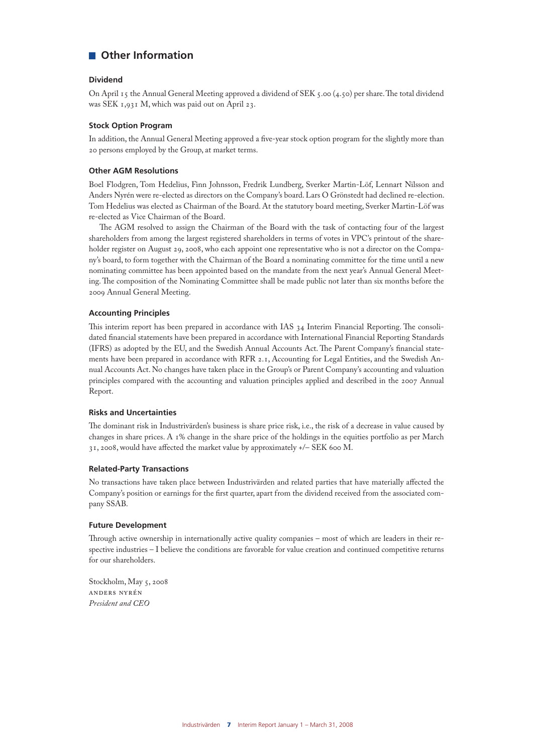## **Other Information**

#### **Dividend**

On April 15 the Annual General Meeting approved a dividend of SEK 5.00 (4.50) per share. The total dividend was SEK 1,931 M, which was paid out on April 23.

#### **Stock Option Program**

In addition, the Annual General Meeting approved a five-year stock option program for the slightly more than 20 persons employed by the Group, at market terms.

#### **Other AGM Resolutions**

Boel Flodgren, Tom Hedelius, Finn Johnsson, Fredrik Lundberg, Sverker Martin-Löf, Lennart Nilsson and Anders Nyrén were re-elected as directors on the Company's board. Lars O Grönstedt had declined re-election. Tom Hedelius was elected as Chairman of the Board. At the statutory board meeting, Sverker Martin-Löf was re-elected as Vice Chairman of the Board.

The AGM resolved to assign the Chairman of the Board with the task of contacting four of the largest shareholders from among the largest registered shareholders in terms of votes in VPC's printout of the shareholder register on August 29, 2008, who each appoint one representative who is not a director on the Company's board, to form together with the Chairman of the Board a nominating committee for the time until a new nominating committee has been appointed based on the mandate from the next year's Annual General Meeting. The composition of the Nominating Committee shall be made public not later than six months before the 2009 Annual General Meeting.

#### **Accounting Principles**

This interim report has been prepared in accordance with IAS 34 Interim Financial Reporting. The consolidated financial statements have been prepared in accordance with International Financial Reporting Standards (IFRS) as adopted by the EU, and the Swedish Annual Accounts Act. The Parent Company's financial statements have been prepared in accordance with RFR 2.1, Accounting for Legal Entities, and the Swedish Annual Accounts Act. No changes have taken place in the Group's or Parent Company's accounting and valuation principles compared with the accounting and valuation principles applied and described in the 2007 Annual Report.

#### **Risks and Uncertainties**

The dominant risk in Industrivärden's business is share price risk, i.e., the risk of a decrease in value caused by changes in share prices. A 1% change in the share price of the holdings in the equities portfolio as per March 31, 2008, would have affected the market value by approximately +/– SEK 600 M.

#### **Related-Party Transactions**

No transactions have taken place between Industrivärden and related parties that have materially affected the Company's position or earnings for the first quarter, apart from the dividend received from the associated company SSAB.

#### **Future Development**

Through active ownership in internationally active quality companies – most of which are leaders in their respective industries – I believe the conditions are favorable for value creation and continued competitive returns for our shareholders.

Stockholm, May 5, 2008 Anders Nyrén *President and CEO*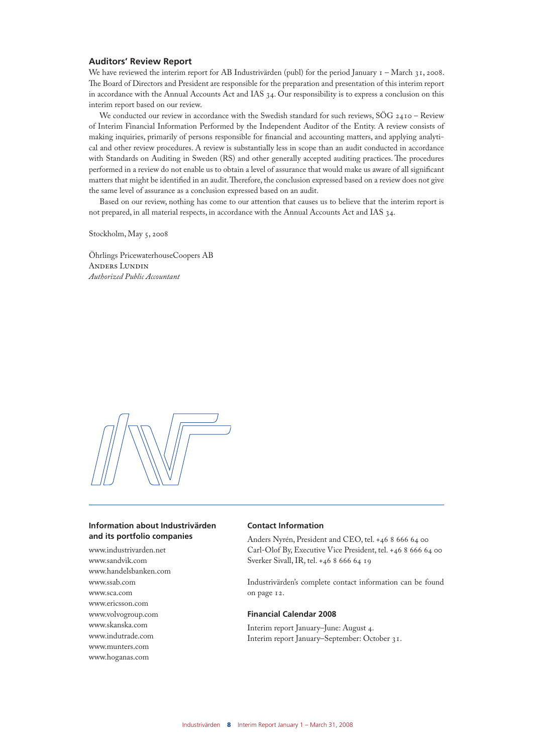#### **Auditors' Review Report**

We have reviewed the interim report for AB Industrivärden (publ) for the period January  $I - March\$ 31, 2008. The Board of Directors and President are responsible for the preparation and presentation of this interim report in accordance with the Annual Accounts Act and IAS 34. Our responsibility is to express a conclusion on this interim report based on our review.

We conducted our review in accordance with the Swedish standard for such reviews, SÖG 2410 - Review of Interim Financial Information Performed by the Independent Auditor of the Entity. A review consists of making inquiries, primarily of persons responsible for financial and accounting matters, and applying analytical and other review procedures. A review is substantially less in scope than an audit conducted in accordance with Standards on Auditing in Sweden (RS) and other generally accepted auditing practices. The procedures performed in a review do not enable us to obtain a level of assurance that would make us aware of all significant matters that might be identified in an audit. Therefore, the conclusion expressed based on a review does not give the same level of assurance as a conclusion expressed based on an audit.

Based on our review, nothing has come to our attention that causes us to believe that the interim report is not prepared, in all material respects, in accordance with the Annual Accounts Act and IAS 34.

Stockholm, May 5, 2008

Öhrlings PricewaterhouseCoopers AB Anders Lundin *Authorized Public Accountant*



#### **Information about Industrivärden and its portfolio companies**

www.industrivarden.net www.sandvik.com www.handelsbanken.com www.ssab.com www.sca.com www.ericsson.com www.volvogroup.com www.skanska.com www.indutrade.com www.munters.com www.hoganas.com

#### **Contact Information**

Anders Nyrén, President and CEO, tel. +46 8 666 64 00 Carl-Olof By, Executive Vice President, tel. +46 8 666 64 00 Sverker Sivall, IR, tel. +46 8 666 64 19

Industrivärden's complete contact information can be found on page 12.

#### **Financial Calendar 2008**

Interim report January–June: August 4. Interim report January–September: October 31.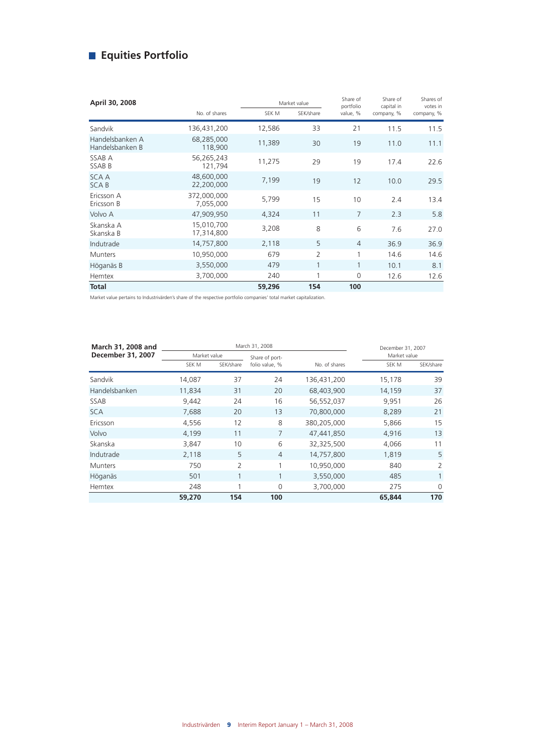# **Equities Portfolio**

| April 30, 2008                     |                          |        | Market value   | Share of<br>portfolio | Share of<br>capital in | Shares of<br>votes in |
|------------------------------------|--------------------------|--------|----------------|-----------------------|------------------------|-----------------------|
|                                    | No. of shares            | SEK M  | SEK/share      | value, %              | company, %             | company, %            |
| Sandvik                            | 136,431,200              | 12,586 | 33             | 21                    | 11.5                   | 11.5                  |
| Handelsbanken A<br>Handelsbanken B | 68,285,000<br>118,900    | 11,389 | 30             | 19                    | 11.0                   | 11.1                  |
| SSAB A<br>SSAB B                   | 56,265,243<br>121,794    | 11,275 | 29             | 19                    | 17.4                   | 22.6                  |
| <b>SCAA</b><br><b>SCAB</b>         | 48,600,000<br>22,200,000 | 7,199  | 19             | 12                    | 10.0                   | 29.5                  |
| Ericsson A<br>Ericsson B           | 372,000,000<br>7,055,000 | 5,799  | 15             | 10                    | 2.4                    | 13.4                  |
| Volvo A                            | 47,909,950               | 4,324  | 11             | 7                     | 2.3                    | 5.8                   |
| Skanska A<br>Skanska B             | 15,010,700<br>17,314,800 | 3,208  | 8              | 6                     | 7.6                    | 27.0                  |
| Indutrade                          | 14,757,800               | 2,118  | 5              | $\overline{4}$        | 36.9                   | 36.9                  |
| <b>Munters</b>                     | 10,950,000               | 679    | $\overline{2}$ | 1                     | 14.6                   | 14.6                  |
| Höganäs B                          | 3,550,000                | 479    | $\mathbf{1}$   | $\mathbf{1}$          | 10.1                   | 8.1                   |
| Hemtex                             | 3,700,000                | 240    | 1              | 0                     | 12.6                   | 12.6                  |
| <b>Total</b>                       |                          | 59,296 | 154            | 100                   |                        |                       |

Market value pertains to Industrivärden's share of the respective portfolio companies' total market capitalization.

| March 31, 2008 and |        |                | March 31, 2008 |               | December 31, 2007 |              |  |
|--------------------|--------|----------------|----------------|---------------|-------------------|--------------|--|
| December 31, 2007  |        | Market value   |                |               |                   | Market value |  |
|                    | SEK M  | SEK/share      | folio value, % | No. of shares | SEK M             | SEK/share    |  |
| Sandvik            | 14.087 | 37             | 24             | 136,431,200   | 15,178            | 39           |  |
| Handelsbanken      | 11,834 | 31             | 20             | 68,403,900    | 14,159            | 37           |  |
| SSAB               | 9,442  | 24             | 16             | 56,552,037    | 9,951             | 26           |  |
| <b>SCA</b>         | 7,688  | 20             | 13             | 70,800,000    | 8,289             | 21           |  |
| Ericsson           | 4,556  | 12             | 8              | 380,205,000   | 5,866             | 15           |  |
| Volvo              | 4,199  | 11             | $\overline{7}$ | 47,441,850    | 4,916             | 13           |  |
| Skanska            | 3,847  | 10             | 6              | 32,325,500    | 4,066             | 11           |  |
| Indutrade          | 2,118  | 5              | $\overline{4}$ | 14,757,800    | 1,819             | 5            |  |
| <b>Munters</b>     | 750    | $\overline{2}$ | 1              | 10,950,000    | 840               | 2            |  |
| Höganäs            | 501    | 1              | $\mathbf{1}$   | 3,550,000     | 485               |              |  |
| Hemtex             | 248    |                | 0              | 3,700,000     | 275               | $\Omega$     |  |
|                    | 59,270 | 154            | 100            |               | 65,844            | 170          |  |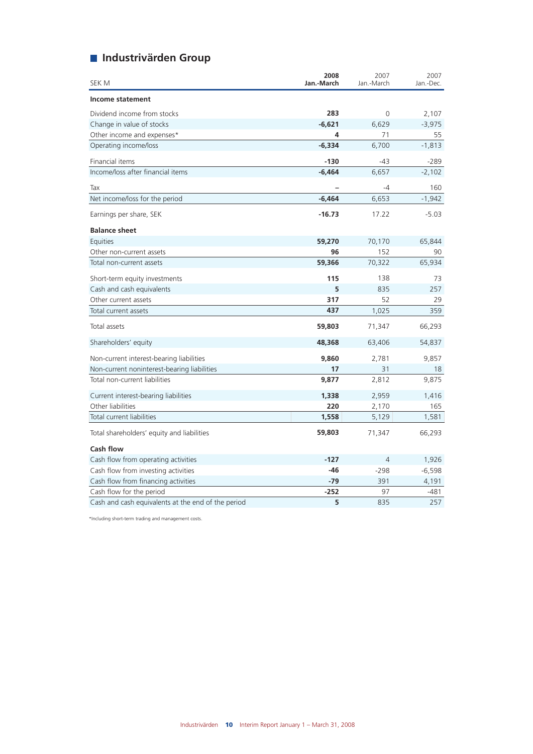# **Industrivärden Group**

| SEK M                                              | 2008<br>Jan.-March | 2007<br>Jan.-March | 2007<br>Jan.-Dec. |
|----------------------------------------------------|--------------------|--------------------|-------------------|
| Income statement                                   |                    |                    |                   |
| Dividend income from stocks                        | 283                | 0                  | 2,107             |
| Change in value of stocks                          | $-6,621$           | 6,629              | $-3,975$          |
| Other income and expenses*                         | 4                  | 71                 | 55                |
| Operating income/loss                              | $-6,334$           | 6,700              | $-1,813$          |
| Financial items                                    | $-130$             | $-43$              | $-289$            |
| Income/loss after financial items                  | $-6,464$           | 6,657              | $-2,102$          |
| Tax                                                |                    | -4                 | 160               |
| Net income/loss for the period                     | $-6,464$           | 6,653              | $-1,942$          |
| Earnings per share, SEK                            | $-16.73$           | 17.22              | $-5.03$           |
| <b>Balance sheet</b>                               |                    |                    |                   |
| Equities                                           | 59,270             | 70,170             | 65,844            |
| Other non-current assets                           | 96                 | 152                | 90                |
| Total non-current assets                           | 59,366             | 70,322             | 65,934            |
| Short-term equity investments                      | 115                | 138                | 73                |
| Cash and cash equivalents                          | 5                  | 835                | 257               |
| Other current assets                               | 317                | 52                 | 29                |
| Total current assets                               | 437                | 1,025              | 359               |
| Total assets                                       | 59,803             | 71,347             | 66,293            |
| Shareholders' equity                               | 48,368             | 63,406             | 54,837            |
| Non-current interest-bearing liabilities           | 9,860              | 2,781              | 9,857             |
| Non-current noninterest-bearing liabilities        | 17                 | 31                 | 18                |
| Total non-current liabilities                      | 9,877              | 2,812              | 9,875             |
| Current interest-bearing liabilities               | 1,338              | 2,959              | 1,416             |
| Other liabilities                                  | 220                | 2,170              | 165               |
| Total current liabilities                          | 1,558              | 5,129              | 1,581             |
| Total shareholders' equity and liabilities         | 59,803             | 71,347             | 66,293            |
| <b>Cash flow</b>                                   |                    |                    |                   |
| Cash flow from operating activities                | $-127$             | $\overline{4}$     | 1,926             |
| Cash flow from investing activities                | $-46$              | $-298$             | $-6,598$          |
| Cash flow from financing activities                | $-79$              | 391                | 4,191             |
| Cash flow for the period                           | $-252$             | 97                 | -481              |
| Cash and cash equivalents at the end of the period | 5                  | 835                | 257               |

\*Including short-term trading and management costs.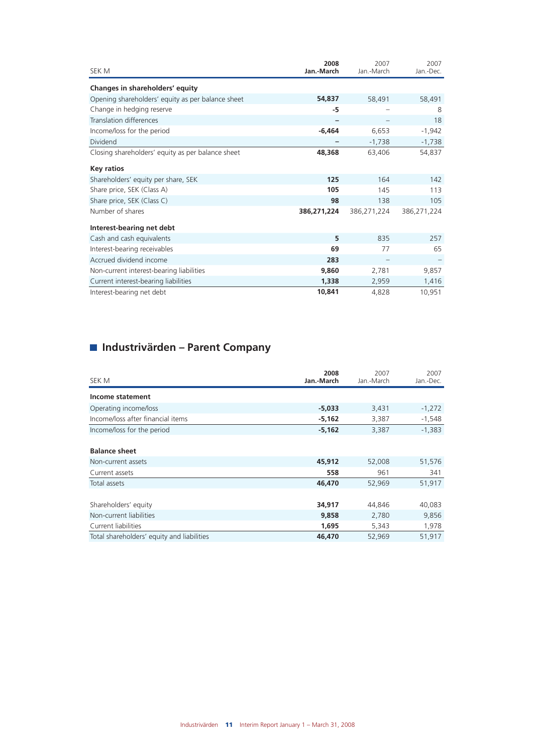| SEK M                                             | 2008<br>Jan.-March | 2007<br>Jan.-March | 2007<br>Jan.-Dec. |
|---------------------------------------------------|--------------------|--------------------|-------------------|
| Changes in shareholders' equity                   |                    |                    |                   |
| Opening shareholders' equity as per balance sheet | 54,837             | 58,491             | 58,491            |
| Change in hedging reserve                         | -5                 |                    | 8                 |
| Translation differences                           |                    |                    | 18                |
| Income/loss for the period                        | $-6,464$           | 6,653              | $-1,942$          |
| Dividend                                          |                    | $-1,738$           | $-1,738$          |
| Closing shareholders' equity as per balance sheet | 48,368             | 63,406             | 54,837            |
| <b>Key ratios</b>                                 |                    |                    |                   |
| Shareholders' equity per share, SEK               | 125                | 164                | 142               |
| Share price, SEK (Class A)                        | 105                | 145                | 113               |
| Share price, SEK (Class C)                        | 98                 | 138                | 105               |
| Number of shares                                  | 386,271,224        | 386,271,224        | 386,271,224       |
| Interest-bearing net debt                         |                    |                    |                   |
| Cash and cash equivalents                         | 5                  | 835                | 257               |
| Interest-bearing receivables                      | 69                 | 77                 | 65                |
| Accrued dividend income                           | 283                |                    |                   |
| Non-current interest-bearing liabilities          | 9,860              | 2,781              | 9,857             |
| Current interest-bearing liabilities              | 1,338              | 2,959              | 1,416             |
| Interest-bearing net debt                         | 10,841             | 4,828              | 10,951            |

# **Industrivärden – Parent Company**

| SEK M                                                                  | 2008<br>Jan.-March       | 2007<br>Jan.-March       | 2007<br>Jan.-Dec.        |
|------------------------------------------------------------------------|--------------------------|--------------------------|--------------------------|
| Income statement                                                       |                          |                          |                          |
| Operating income/loss                                                  | $-5,033$                 | 3,431                    | $-1,272$                 |
| Income/loss after financial items                                      | $-5,162$                 | 3,387                    | $-1,548$                 |
| Income/loss for the period                                             | $-5,162$                 | 3,387                    | $-1,383$                 |
| <b>Balance sheet</b><br>Non-current assets                             | 45,912                   | 52,008                   | 51,576                   |
| Current assets                                                         | 558                      | 961                      | 341                      |
| Total assets                                                           | 46,470                   | 52,969                   | 51,917                   |
| Shareholders' equity<br>Non-current liabilities<br>Current liabilities | 34,917<br>9,858<br>1,695 | 44,846<br>2,780<br>5,343 | 40,083<br>9,856<br>1,978 |
| Total shareholders' equity and liabilities                             | 46,470                   | 52,969                   | 51,917                   |